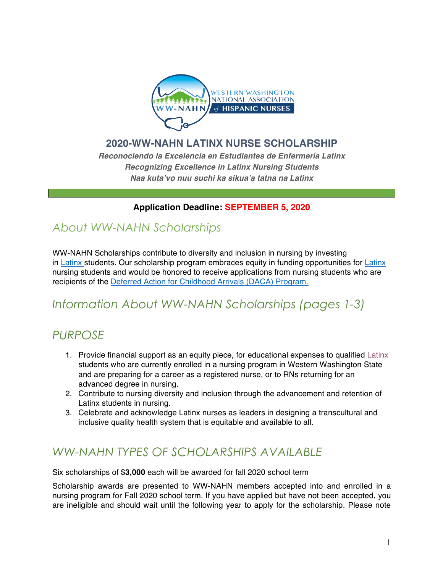

## **2020-WW-NAHN LATINX NURSE SCHOLARSHIP**

*Reconociendo la Excelencia en Estudiantes de Enfermería Latinx Recognizing Excellence in Latinx Nursing Students Naa kuta'vo nuu suchi ka sikua'a tatna na Latinx*

## **Application Deadline: SEPTEMBER 5, 2020**

## *About WW-NAHN Scholarships*

WW-NAHN Scholarships contribute to diversity and inclusion in nursing by investing in Latinx students. Our scholarship program embraces equity in funding opportunities for Latinx nursing students and would be honored to receive applications from nursing students who are recipients of the Deferred Action for Childhood Arrivals (DACA) Program.

# *Information About WW-NAHN Scholarships (pages 1-3)*

## *PURPOSE*

- 1. Provide financial support as an equity piece, for educational expenses to qualified Latinx students who are currently enrolled in a nursing program in Western Washington State and are preparing for a career as a registered nurse, or to RNs returning for an advanced degree in nursing.
- 2. Contribute to nursing diversity and inclusion through the advancement and retention of Latinx students in nursing.
- 3. Celebrate and acknowledge Latinx nurses as leaders in designing a transcultural and inclusive quality health system that is equitable and available to all.

## *WW-NAHN TYPES OF SCHOLARSHIPS AVAILABLE*

Six scholarships of \$**3,000** each will be awarded for fall 2020 school term

Scholarship awards are presented to WW-NAHN members accepted into and enrolled in a nursing program for Fall 2020 school term. If you have applied but have not been accepted, you are ineligible and should wait until the following year to apply for the scholarship. Please note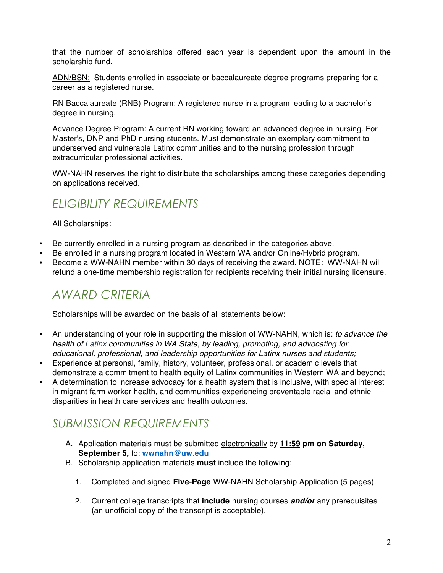that the number of scholarships offered each year is dependent upon the amount in the scholarship fund.

ADN/BSN: Students enrolled in associate or baccalaureate degree programs preparing for a career as a registered nurse.

RN Baccalaureate (RNB) Program: A registered nurse in a program leading to a bachelor's degree in nursing.

Advance Degree Program: A current RN working toward an advanced degree in nursing. For Master's, DNP and PhD nursing students. Must demonstrate an exemplary commitment to underserved and vulnerable Latinx communities and to the nursing profession through extracurricular professional activities.

WW-NAHN reserves the right to distribute the scholarships among these categories depending on applications received.

## *ELIGIBILITY REQUIREMENTS*

All Scholarships:

- Be currently enrolled in a nursing program as described in the categories above.
- Be enrolled in a nursing program located in Western WA and/or Online/Hybrid program.
- Become a WW-NAHN member within 30 days of receiving the award. NOTE: WW-NAHN will refund a one-time membership registration for recipients receiving their initial nursing licensure.

# *AWARD CRITERIA*

Scholarships will be awarded on the basis of all statements below:

- An understanding of your role in supporting the mission of WW-NAHN, which is: *to advance the health of Latinx communities in WA State, by leading, promoting, and advocating for educational, professional, and leadership opportunities for Latinx nurses and students;*
- Experience at personal, family, history, volunteer, professional, or academic levels that demonstrate a commitment to health equity of Latinx communities in Western WA and beyond;
- A determination to increase advocacy for a health system that is inclusive, with special interest in migrant farm worker health, and communities experiencing preventable racial and ethnic disparities in health care services and health outcomes.

# *SUBMISSION REQUIREMENTS*

- A. Application materials must be submitted electronically by **11:59 pm on Saturday, September 5,** to: **wwnahn@uw.edu**
- B. Scholarship application materials **must** include the following:
	- 1. Completed and signed **Five-Page** WW-NAHN Scholarship Application (5 pages).
	- 2. Current college transcripts that **include** nursing courses *and/or* any prerequisites (an unofficial copy of the transcript is acceptable).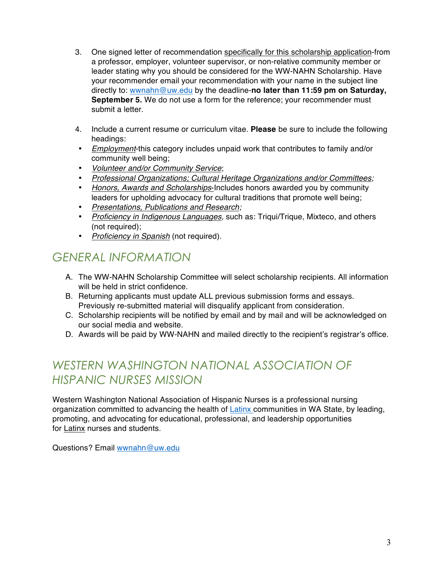- 3. One signed letter of recommendation specifically for this scholarship application-from a professor, employer, volunteer supervisor, or non-relative community member or leader stating why you should be considered for the WW-NAHN Scholarship. Have your recommender email your recommendation with your name in the subject line directly to: wwnahn@uw.edu by the deadline-**no later than 11:59 pm on Saturday, September 5.** We do not use a form for the reference; your recommender must submit a letter.
- 4. Include a current resume or curriculum vitae. **Please** be sure to include the following headings:
- *Employment*-this category includes unpaid work that contributes to family and/or community well being;
- *Volunteer and/or Community Service*;
- *Professional Organizations; Cultural Heritage Organizations and/or Committees;*
- *Honors, Awards and Scholarships*-Includes honors awarded you by community leaders for upholding advocacy for cultural traditions that promote well being;
- *Presentations, Publications and Research;*
- *Proficiency in Indigenous Languages,* such as: Triqui/Trique, Mixteco, and others (not required);
- *Proficiency in Spanish* (not required).

## *GENERAL INFORMATION*

- A. The WW-NAHN Scholarship Committee will select scholarship recipients. All information will be held in strict confidence.
- B. Returning applicants must update ALL previous submission forms and essays. Previously re-submitted material will disqualify applicant from consideration.
- C. Scholarship recipients will be notified by email and by mail and will be acknowledged on our social media and website.
- D. Awards will be paid by WW-NAHN and mailed directly to the recipient's registrar's office.

# *WESTERN WASHINGTON NATIONAL ASSOCIATION OF HISPANIC NURSES MISSION*

Western Washington National Association of Hispanic Nurses is a professional nursing organization committed to advancing the health of Latinx communities in WA State, by leading, promoting, and advocating for educational, professional, and leadership opportunities for Latinx nurses and students.

Questions? Email wwnahn@uw.edu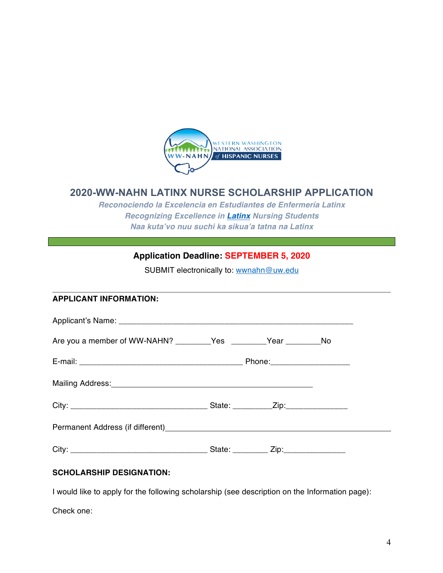

## **2020-WW-NAHN LATINX NURSE SCHOLARSHIP APPLICATION**

*Reconociendo la Excelencia en Estudiantes de Enfermería Latinx Recognizing Excellence in Latinx Nursing Students Naa kuta'vo nuu suchi ka sikua'a tatna na Latinx*

## **Application Deadline: SEPTEMBER 5, 2020**

SUBMIT electronically to: wwnahn@uw.edu

#### **APPLICANT INFORMATION:**

| Are you a member of WW-NAHN? __________Yes _________Year ____________No                                       |  |  |  |
|---------------------------------------------------------------------------------------------------------------|--|--|--|
|                                                                                                               |  |  |  |
| Mailing Address: Mailing Address: Mail and Mailing Address: Mail and Mail and Mail and Mail and Mail and Mail |  |  |  |
|                                                                                                               |  |  |  |
|                                                                                                               |  |  |  |
|                                                                                                               |  |  |  |

### **SCHOLARSHIP DESIGNATION:**

I would like to apply for the following scholarship (see description on the Information page):

Check one: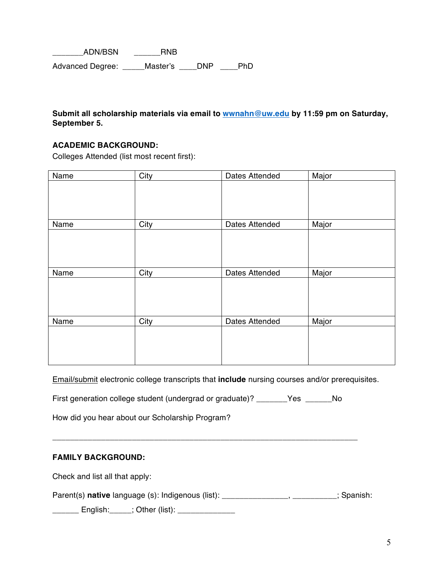ADN/BSN RNB Advanced Degree: \_\_\_\_\_Master's \_\_\_\_DNP \_\_\_\_PhD

#### **Submit all scholarship materials via email to wwnahn@uw.edu by 11:59 pm on Saturday, September 5.**

### **ACADEMIC BACKGROUND:**

Colleges Attended (list most recent first):

| Name | City | Dates Attended | Major |
|------|------|----------------|-------|
|      |      |                |       |
|      |      |                |       |
|      |      |                |       |
| Name | City | Dates Attended | Major |
|      |      |                |       |
|      |      |                |       |
|      |      |                |       |
| Name | City | Dates Attended | Major |
|      |      |                |       |
|      |      |                |       |
|      |      |                |       |
| Name | City | Dates Attended | Major |
|      |      |                |       |
|      |      |                |       |
|      |      |                |       |

Email/submit electronic college transcripts that **include** nursing courses and/or prerequisites.

First generation college student (undergrad or graduate)? \_\_\_\_\_\_\_Yes \_\_\_\_\_\_No

\_\_\_\_\_\_\_\_\_\_\_\_\_\_\_\_\_\_\_\_\_\_\_\_\_\_\_\_\_\_\_\_\_\_\_\_\_\_\_\_\_\_\_\_\_\_\_\_\_\_\_\_\_\_\_\_\_\_\_\_\_\_\_\_\_\_\_\_\_

How did you hear about our Scholarship Program?

### **FAMILY BACKGROUND:**

Check and list all that apply:

Parent(s) **native** language (s): Indigenous (list): \_\_\_\_\_\_\_\_\_\_\_\_\_\_\_\_\_\_\_\_\_\_\_\_\_\_\_\_\_; Spanish:

\_\_\_\_\_\_ English:\_\_\_\_\_; Other (list): \_\_\_\_\_\_\_\_\_\_\_\_\_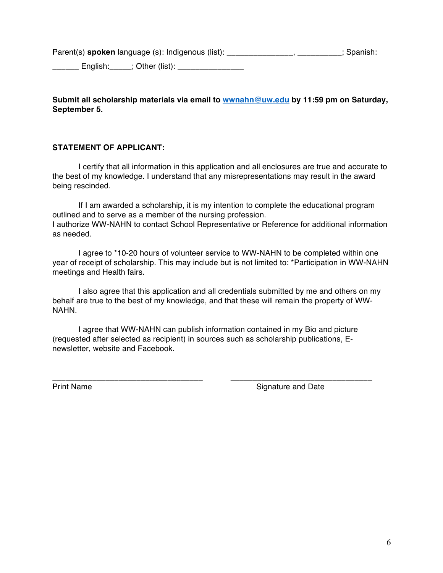Parent(s) **spoken** language (s): Indigenous (list): \_\_\_\_\_\_\_\_\_\_\_\_\_\_\_\_\_, \_\_\_\_\_\_\_\_\_\_; Spanish:

English:  $\qquad$ : Other (list):

### **Submit all scholarship materials via email to wwnahn@uw.edu by 11:59 pm on Saturday, September 5.**

### **STATEMENT OF APPLICANT:**

I certify that all information in this application and all enclosures are true and accurate to the best of my knowledge. I understand that any misrepresentations may result in the award being rescinded.

If I am awarded a scholarship, it is my intention to complete the educational program outlined and to serve as a member of the nursing profession. I authorize WW-NAHN to contact School Representative or Reference for additional information as needed.

I agree to \*10-20 hours of volunteer service to WW-NAHN to be completed within one year of receipt of scholarship. This may include but is not limited to: \*Participation in WW-NAHN meetings and Health fairs.

I also agree that this application and all credentials submitted by me and others on my behalf are true to the best of my knowledge, and that these will remain the property of WW-NAHN.

I agree that WW-NAHN can publish information contained in my Bio and picture (requested after selected as recipient) in sources such as scholarship publications, Enewsletter, website and Facebook.

\_\_\_\_\_\_\_\_\_\_\_\_\_\_\_\_\_\_\_\_\_\_\_\_\_\_\_\_\_\_\_\_\_\_ \_\_\_\_\_\_\_\_\_\_\_\_\_\_\_\_\_\_\_\_\_\_\_\_\_\_\_\_\_\_\_\_ Print Name **Signature and Date**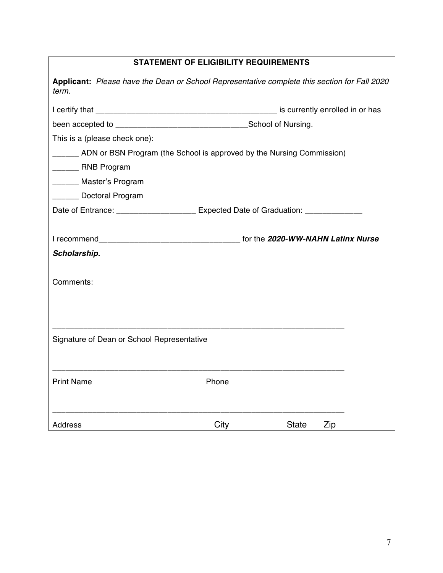| <b>STATEMENT OF ELIGIBILITY REQUIREMENTS</b>                                                          |       |              |     |  |  |  |
|-------------------------------------------------------------------------------------------------------|-------|--------------|-----|--|--|--|
| Applicant: Please have the Dean or School Representative complete this section for Fall 2020<br>term. |       |              |     |  |  |  |
|                                                                                                       |       |              |     |  |  |  |
|                                                                                                       |       |              |     |  |  |  |
| This is a (please check one):                                                                         |       |              |     |  |  |  |
| ______ ADN or BSN Program (the School is approved by the Nursing Commission)                          |       |              |     |  |  |  |
| RNB Program                                                                                           |       |              |     |  |  |  |
| _______ Master's Program                                                                              |       |              |     |  |  |  |
| ______ Doctoral Program                                                                               |       |              |     |  |  |  |
| Date of Entrance: ____________________ Expected Date of Graduation: ____________                      |       |              |     |  |  |  |
|                                                                                                       |       |              |     |  |  |  |
|                                                                                                       |       |              |     |  |  |  |
| Scholarship.                                                                                          |       |              |     |  |  |  |
|                                                                                                       |       |              |     |  |  |  |
| Comments:                                                                                             |       |              |     |  |  |  |
|                                                                                                       |       |              |     |  |  |  |
|                                                                                                       |       |              |     |  |  |  |
|                                                                                                       |       |              |     |  |  |  |
| Signature of Dean or School Representative                                                            |       |              |     |  |  |  |
|                                                                                                       |       |              |     |  |  |  |
|                                                                                                       |       |              |     |  |  |  |
| <b>Print Name</b>                                                                                     | Phone |              |     |  |  |  |
|                                                                                                       |       |              |     |  |  |  |
|                                                                                                       |       |              |     |  |  |  |
| <b>Address</b>                                                                                        | City  | <b>State</b> | Zip |  |  |  |